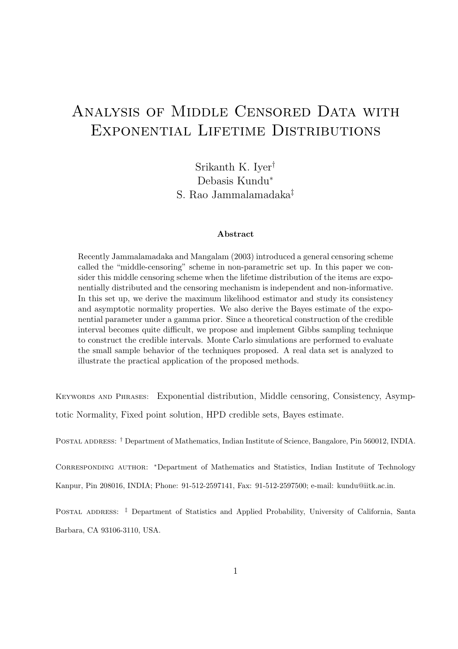# Analysis of Middle Censored Data with Exponential Lifetime Distributions

Srikanth K. Iyer† Debasis Kundu<sup>∗</sup> S. Rao Jammalamadaka‡

#### Abstract

Recently Jammalamadaka and Mangalam (2003) introduced a general censoring scheme called the "middle-censoring" scheme in non-parametric set up. In this paper we consider this middle censoring scheme when the lifetime distribution of the items are exponentially distributed and the censoring mechanism is independent and non-informative. In this set up, we derive the maximum likelihood estimator and study its consistency and asymptotic normality properties. We also derive the Bayes estimate of the exponential parameter under a gamma prior. Since a theoretical construction of the credible interval becomes quite difficult, we propose and implement Gibbs sampling technique to construct the credible intervals. Monte Carlo simulations are performed to evaluate the small sample behavior of the techniques proposed. A real data set is analyzed to illustrate the practical application of the proposed methods.

KEYWORDS AND PHRASES: Exponential distribution, Middle censoring, Consistency, Asymptotic Normality, Fixed point solution, HPD credible sets, Bayes estimate.

POSTAL ADDRESS: † Department of Mathematics, Indian Institute of Science, Bangalore, Pin 560012, INDIA.

CORRESPONDING AUTHOR: \*Department of Mathematics and Statistics, Indian Institute of Technology Kanpur, Pin 208016, INDIA; Phone: 91-512-2597141, Fax: 91-512-2597500; e-mail: kundu@iitk.ac.in.

POSTAL ADDRESS: <sup>‡</sup> Department of Statistics and Applied Probability, University of California, Santa Barbara, CA 93106-3110, USA.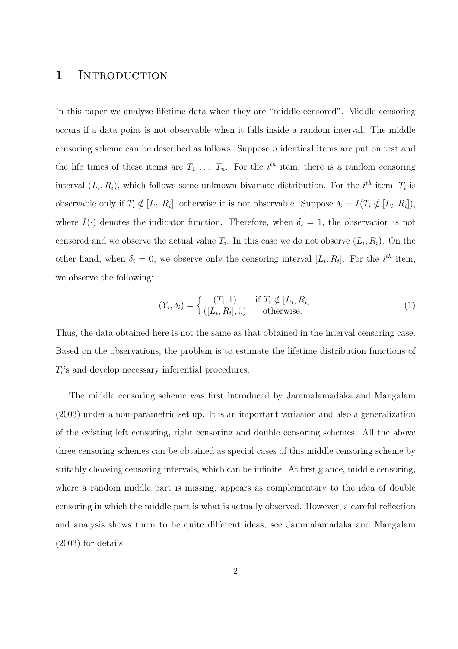#### 1 INTRODUCTION

In this paper we analyze lifetime data when they are "middle-censored". Middle censoring occurs if a data point is not observable when it falls inside a random interval. The middle censoring scheme can be described as follows. Suppose n identical items are put on test and the life times of these items are  $T_1, \ldots, T_n$ . For the  $i^{th}$  item, there is a random censoring interval  $(L_i, R_i)$ , which follows some unknown bivariate distribution. For the  $i^{th}$  item,  $T_i$  is observable only if  $T_i \notin [L_i, R_i]$ , otherwise it is not observable. Suppose  $\delta_i = I(T_i \notin [L_i, R_i])$ , where  $I(\cdot)$  denotes the indicator function. Therefore, when  $\delta_i = 1$ , the observation is not censored and we observe the actual value  $T_i$ . In this case we do not observe  $(L_i, R_i)$ . On the other hand, when  $\delta_i = 0$ , we observe only the censoring interval  $[L_i, R_i]$ . For the  $i^{th}$  item, we observe the following;

$$
(Y_i, \delta_i) = \begin{cases} (T_i, 1) & \text{if } T_i \notin [L_i, R_i] \\ ([L_i, R_i], 0) & \text{otherwise.} \end{cases}
$$
 (1)

Thus, the data obtained here is not the same as that obtained in the interval censoring case. Based on the observations, the problem is to estimate the lifetime distribution functions of  $T_i$ 's and develop necessary inferential procedures.

The middle censoring scheme was first introduced by Jammalamadaka and Mangalam (2003) under a non-parametric set up. It is an important variation and also a generalization of the existing left censoring, right censoring and double censoring schemes. All the above three censoring schemes can be obtained as special cases of this middle censoring scheme by suitably choosing censoring intervals, which can be infinite. At first glance, middle censoring, where a random middle part is missing, appears as complementary to the idea of double censoring in which the middle part is what is actually observed. However, a careful reflection and analysis shows them to be quite different ideas; see Jammalamadaka and Mangalam (2003) for details.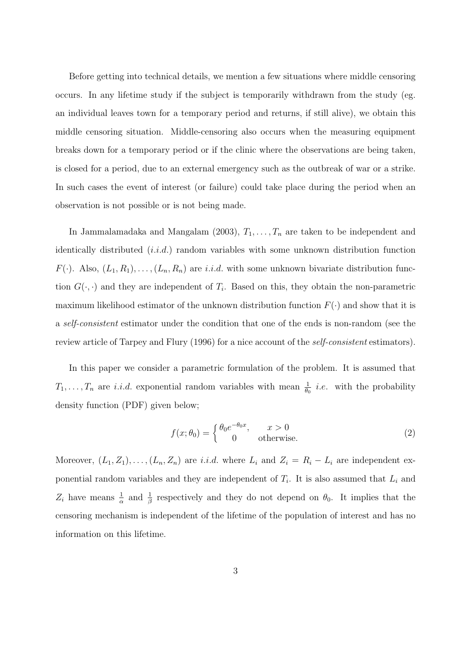Before getting into technical details, we mention a few situations where middle censoring occurs. In any lifetime study if the subject is temporarily withdrawn from the study (eg. an individual leaves town for a temporary period and returns, if still alive), we obtain this middle censoring situation. Middle-censoring also occurs when the measuring equipment breaks down for a temporary period or if the clinic where the observations are being taken, is closed for a period, due to an external emergency such as the outbreak of war or a strike. In such cases the event of interest (or failure) could take place during the period when an observation is not possible or is not being made.

In Jammalamadaka and Mangalam (2003),  $T_1, \ldots, T_n$  are taken to be independent and identically distributed  $(i.i.d.)$  random variables with some unknown distribution function  $F(\cdot)$ . Also,  $(L_1, R_1), \ldots, (L_n, R_n)$  are *i.i.d.* with some unknown bivariate distribution function  $G(\cdot, \cdot)$  and they are independent of  $T_i$ . Based on this, they obtain the non-parametric maximum likelihood estimator of the unknown distribution function  $F(\cdot)$  and show that it is a self-consistent estimator under the condition that one of the ends is non-random (see the review article of Tarpey and Flury (1996) for a nice account of the self-consistent estimators).

In this paper we consider a parametric formulation of the problem. It is assumed that  $T_1, \ldots, T_n$  are *i.i.d.* exponential random variables with mean  $\frac{1}{\theta_0}$  *i.e.* with the probability density function (PDF) given below;

$$
f(x; \theta_0) = \begin{cases} \theta_0 e^{-\theta_0 x}, & x > 0 \\ 0 & \text{otherwise.} \end{cases}
$$
 (2)

Moreover,  $(L_1, Z_1), \ldots, (L_n, Z_n)$  are *i.i.d.* where  $L_i$  and  $Z_i = R_i - L_i$  are independent exponential random variables and they are independent of  $T_i$ . It is also assumed that  $L_i$  and  $Z_i$  have means  $\frac{1}{\alpha}$  and  $\frac{1}{\beta}$  respectively and they do not depend on  $\theta_0$ . It implies that the censoring mechanism is independent of the lifetime of the population of interest and has no information on this lifetime.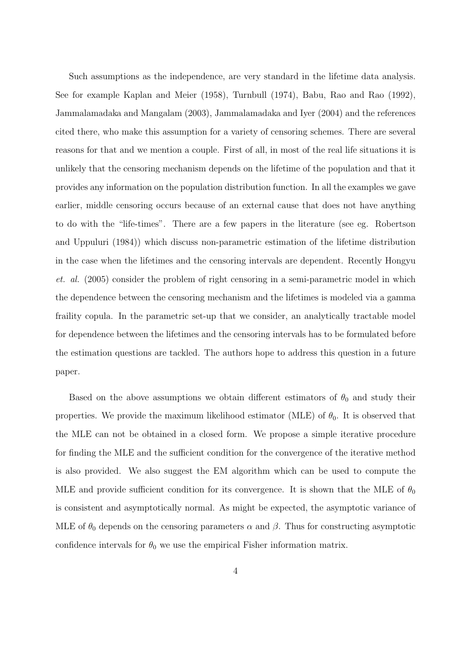Such assumptions as the independence, are very standard in the lifetime data analysis. See for example Kaplan and Meier (1958), Turnbull (1974), Babu, Rao and Rao (1992), Jammalamadaka and Mangalam (2003), Jammalamadaka and Iyer (2004) and the references cited there, who make this assumption for a variety of censoring schemes. There are several reasons for that and we mention a couple. First of all, in most of the real life situations it is unlikely that the censoring mechanism depends on the lifetime of the population and that it provides any information on the population distribution function. In all the examples we gave earlier, middle censoring occurs because of an external cause that does not have anything to do with the "life-times". There are a few papers in the literature (see eg. Robertson and Uppuluri (1984)) which discuss non-parametric estimation of the lifetime distribution in the case when the lifetimes and the censoring intervals are dependent. Recently Hongyu et. al. (2005) consider the problem of right censoring in a semi-parametric model in which the dependence between the censoring mechanism and the lifetimes is modeled via a gamma fraility copula. In the parametric set-up that we consider, an analytically tractable model for dependence between the lifetimes and the censoring intervals has to be formulated before the estimation questions are tackled. The authors hope to address this question in a future paper.

Based on the above assumptions we obtain different estimators of  $\theta_0$  and study their properties. We provide the maximum likelihood estimator (MLE) of  $\theta_0$ . It is observed that the MLE can not be obtained in a closed form. We propose a simple iterative procedure for finding the MLE and the sufficient condition for the convergence of the iterative method is also provided. We also suggest the EM algorithm which can be used to compute the MLE and provide sufficient condition for its convergence. It is shown that the MLE of  $\theta_0$ is consistent and asymptotically normal. As might be expected, the asymptotic variance of MLE of  $\theta_0$  depends on the censoring parameters  $\alpha$  and  $\beta$ . Thus for constructing asymptotic confidence intervals for  $\theta_0$  we use the empirical Fisher information matrix.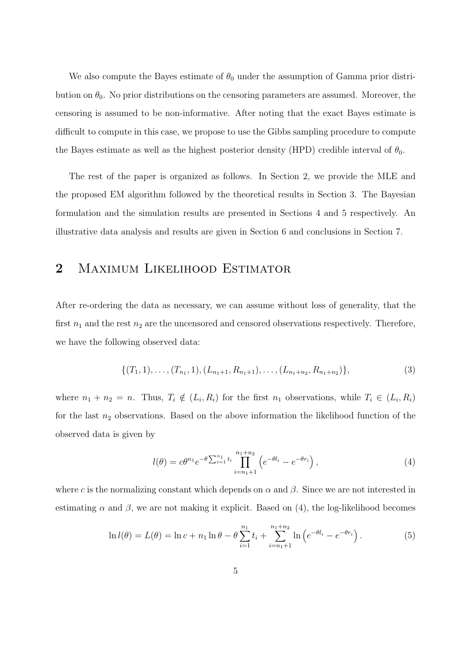We also compute the Bayes estimate of  $\theta_0$  under the assumption of Gamma prior distribution on  $\theta_0$ . No prior distributions on the censoring parameters are assumed. Moreover, the censoring is assumed to be non-informative. After noting that the exact Bayes estimate is difficult to compute in this case, we propose to use the Gibbs sampling procedure to compute the Bayes estimate as well as the highest posterior density (HPD) credible interval of  $\theta_0$ .

The rest of the paper is organized as follows. In Section 2, we provide the MLE and the proposed EM algorithm followed by the theoretical results in Section 3. The Bayesian formulation and the simulation results are presented in Sections 4 and 5 respectively. An illustrative data analysis and results are given in Section 6 and conclusions in Section 7.

## 2 MAXIMUM LIKELIHOOD ESTIMATOR

After re-ordering the data as necessary, we can assume without loss of generality, that the first  $n_1$  and the rest  $n_2$  are the uncensored and censored observations respectively. Therefore, we have the following observed data:

$$
\{(T_1,1),\ldots,(T_{n_1},1),(L_{n_1+1},R_{n_1+1}),\ldots,(L_{n_1+n_2},R_{n_1+n_2})\},\tag{3}
$$

where  $n_1 + n_2 = n$ . Thus,  $T_i \notin (L_i, R_i)$  for the first  $n_1$  observations, while  $T_i \in (L_i, R_i)$ for the last  $n_2$  observations. Based on the above information the likelihood function of the observed data is given by

$$
l(\theta) = c\theta^{n_1} e^{-\theta \sum_{i=1}^{n_1} t_i} \prod_{i=n_1+1}^{n_1+n_2} \left( e^{-\theta l_i} - e^{-\theta r_i} \right),
$$
\n(4)

where c is the normalizing constant which depends on  $\alpha$  and  $\beta$ . Since we are not interested in estimating  $\alpha$  and  $\beta$ , we are not making it explicit. Based on (4), the log-likelihood becomes

$$
\ln l(\theta) = L(\theta) = \ln c + n_1 \ln \theta - \theta \sum_{i=1}^{n_1} t_i + \sum_{i=n_1+1}^{n_1+n_2} \ln \left( e^{-\theta t_i} - e^{-\theta r_i} \right). \tag{5}
$$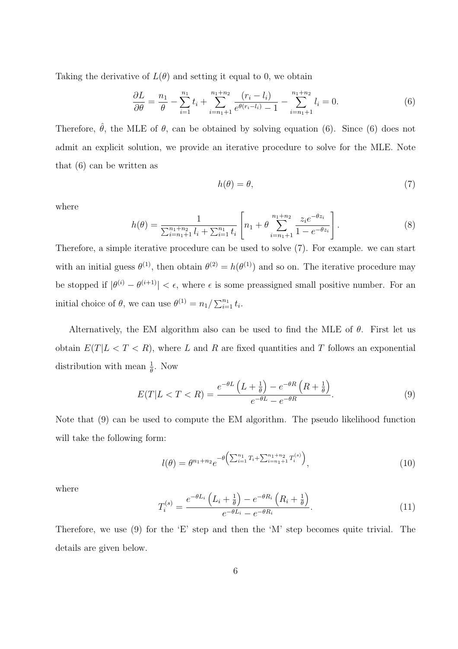Taking the derivative of  $L(\theta)$  and setting it equal to 0, we obtain

$$
\frac{\partial L}{\partial \theta} = \frac{n_1}{\theta} - \sum_{i=1}^{n_1} t_i + \sum_{i=n_1+1}^{n_1+n_2} \frac{(r_i - l_i)}{e^{\theta(r_i - l_i)} - 1} - \sum_{i=n_1+1}^{n_1+n_2} l_i = 0.
$$
 (6)

Therefore,  $\hat{\theta}$ , the MLE of  $\theta$ , can be obtained by solving equation (6). Since (6) does not admit an explicit solution, we provide an iterative procedure to solve for the MLE. Note that (6) can be written as

$$
h(\theta) = \theta,\tag{7}
$$

where

$$
h(\theta) = \frac{1}{\sum_{i=n_1+1}^{n_1+n_2} l_i + \sum_{i=1}^{n_1} t_i} \left[ n_1 + \theta \sum_{i=n_1+1}^{n_1+n_2} \frac{z_i e^{-\theta z_i}}{1 - e^{-\theta z_i}} \right]. \tag{8}
$$

Therefore, a simple iterative procedure can be used to solve (7). For example. we can start with an initial guess  $\theta^{(1)}$ , then obtain  $\theta^{(2)} = h(\theta^{(1)})$  and so on. The iterative procedure may be stopped if  $|\theta^{(i)} - \theta^{(i+1)}| < \epsilon$ , where  $\epsilon$  is some preassigned small positive number. For an initial choice of  $\theta$ , we can use  $\theta^{(1)} = n_1 / \sum_{i=1}^{n_1} t_i$ .

Alternatively, the EM algorithm also can be used to find the MLE of  $\theta$ . First let us obtain  $E(T|L < T < R)$ , where L and R are fixed quantities and T follows an exponential distribution with mean  $\frac{1}{\theta}$ . Now

$$
E(T|L < T < R) = \frac{e^{-\theta L} \left(L + \frac{1}{\theta}\right) - e^{-\theta R} \left(R + \frac{1}{\theta}\right)}{e^{-\theta L} - e^{-\theta R}}.
$$
\n(9)

Note that (9) can be used to compute the EM algorithm. The pseudo likelihood function will take the following form:

$$
l(\theta) = \theta^{n_1 + n_2} e^{-\theta \left( \sum_{i=1}^{n_1} T_i + \sum_{i=n_1+1}^{n_1+n_2} T_i^{(s)} \right)},
$$
\n(10)

where

$$
T_i^{(s)} = \frac{e^{-\theta L_i} \left( L_i + \frac{1}{\theta} \right) - e^{-\theta R_i} \left( R_i + \frac{1}{\theta} \right)}{e^{-\theta L_i} - e^{-\theta R_i}}.
$$
\n
$$
(11)
$$

Therefore, we use (9) for the 'E' step and then the 'M' step becomes quite trivial. The details are given below.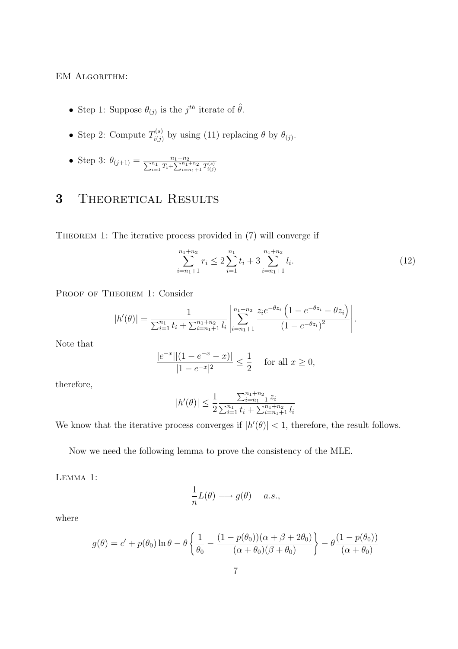#### EM ALGORITHM:

- Step 1: Suppose  $\theta_{(j)}$  is the  $j^{th}$  iterate of  $\hat{\theta}$ .
- Step 2: Compute  $T_{i(i)}^{(s)}$  $\hat{f}_{i(j)}^{(s)}$  by using (11) replacing  $\theta$  by  $\theta_{(j)}$ .
- Step 3:  $\theta_{(j+1)} = \frac{n_1 + n_2}{\sum_{i=1}^{n_1} T_i + \sum_{i=n_1+1}^{n_1+n_2} T_{i(j)}^{(s)}}$

# 3 THEORETICAL RESULTS

THEOREM 1: The iterative process provided in  $(7)$  will converge if

$$
\sum_{i=n_1+1}^{n_1+n_2} r_i \le 2 \sum_{i=1}^{n_1} t_i + 3 \sum_{i=n_1+1}^{n_1+n_2} l_i.
$$
 (12)

PROOF OF THEOREM 1: Consider

$$
|h'(\theta)| = \frac{1}{\sum_{i=1}^{n_1} t_i + \sum_{i=n_1+1}^{n_1+n_2} l_i} \left| \sum_{i=n_1+1}^{n_1+n_2} \frac{z_i e^{-\theta z_i} \left(1 - e^{-\theta z_i} - \theta z_i\right)}{\left(1 - e^{-\theta z_i}\right)^2} \right|.
$$

Note that

$$
\frac{|e^{-x}||(1 - e^{-x} - x)|}{|1 - e^{-x}|^2} \le \frac{1}{2} \quad \text{for all } x \ge 0,
$$

therefore,

$$
|h'(\theta)| \le \frac{1}{2} \frac{\sum_{i=n_1+1}^{n_1+n_2} z_i}{\sum_{i=1}^{n_1} t_i + \sum_{i=n_1+1}^{n_1+n_2} l_i}
$$

We know that the iterative process converges if  $|h'(\theta)| < 1$ , therefore, the result follows.

Now we need the following lemma to prove the consistency of the MLE.

Lemma 1:

$$
\frac{1}{n}L(\theta) \longrightarrow g(\theta) \quad a.s.,
$$

where

$$
g(\theta) = c' + p(\theta_0) \ln \theta - \theta \left\{ \frac{1}{\theta_0} - \frac{(1 - p(\theta_0))(\alpha + \beta + 2\theta_0)}{(\alpha + \theta_0)(\beta + \theta_0)} \right\} - \theta \frac{(1 - p(\theta_0))}{(\alpha + \theta_0)}
$$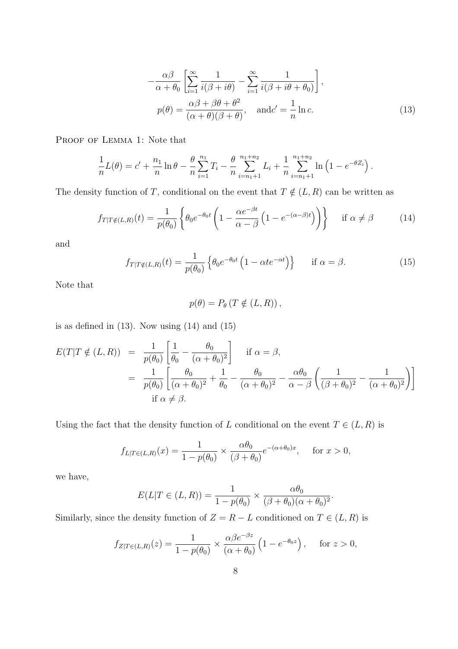$$
-\frac{\alpha\beta}{\alpha+\theta_0} \left[ \sum_{i=1}^{\infty} \frac{1}{i(\beta+i\theta)} - \sum_{i=1}^{\infty} \frac{1}{i(\beta+i\theta+\theta_0)} \right],
$$
  

$$
p(\theta) = \frac{\alpha\beta+\beta\theta+\theta^2}{(\alpha+\theta)(\beta+\theta)}, \quad \text{and} \quad c' = \frac{1}{n} \ln c.
$$
 (13)

PROOF OF LEMMA 1: Note that

$$
\frac{1}{n}L(\theta) = c' + \frac{n_1}{n}\ln\theta - \frac{\theta}{n}\sum_{i=1}^{n_1}T_i - \frac{\theta}{n}\sum_{i=n_1+1}^{n_1+n_2}L_i + \frac{1}{n}\sum_{i=n_1+1}^{n_1+n_2}\ln\left(1 - e^{-\theta Z_i}\right).
$$

The density function of T, conditional on the event that  $T \notin (L, R)$  can be written as

$$
f_{T|T\notin(L,R)}(t) = \frac{1}{p(\theta_0)} \left\{ \theta_0 e^{-\theta_0 t} \left( 1 - \frac{\alpha e^{-\beta t}}{\alpha - \beta} \left( 1 - e^{-(\alpha - \beta)t} \right) \right) \right\} \quad \text{if } \alpha \neq \beta \tag{14}
$$

and

$$
f_{T|T\notin(L,R)}(t) = \frac{1}{p(\theta_0)} \left\{ \theta_0 e^{-\theta_0 t} \left( 1 - \alpha t e^{-\alpha t} \right) \right\} \quad \text{if } \alpha = \beta. \tag{15}
$$

Note that

$$
p(\theta) = P_{\theta} (T \notin (L, R)),
$$

is as defined in  $(13)$ . Now using  $(14)$  and  $(15)$ 

$$
E(T|T \notin (L,R)) = \frac{1}{p(\theta_0)} \left[ \frac{1}{\theta_0} - \frac{\theta_0}{(\alpha + \theta_0)^2} \right] \quad \text{if } \alpha = \beta,
$$
  

$$
= \frac{1}{p(\theta_0)} \left[ \frac{\theta_0}{(\alpha + \theta_0)^2} + \frac{1}{\theta_0} - \frac{\theta_0}{(\alpha + \theta_0)^2} - \frac{\alpha \theta_0}{\alpha - \beta} \left( \frac{1}{(\beta + \theta_0)^2} - \frac{1}{(\alpha + \theta_0)^2} \right) \right]
$$
  
if  $\alpha \neq \beta$ .

Using the fact that the density function of L conditional on the event  $T \in (L, R)$  is

$$
f_{L|T\in(L,R)}(x) = \frac{1}{1-p(\theta_0)} \times \frac{\alpha\theta_0}{(\beta+\theta_0)} e^{-(\alpha+\theta_0)x}, \quad \text{ for } x > 0,
$$

we have,

$$
E(L|T \in (L,R)) = \frac{1}{1 - p(\theta_0)} \times \frac{\alpha \theta_0}{(\beta + \theta_0)(\alpha + \theta_0)^2}
$$

.

Similarly, since the density function of  $Z = R - L$  conditioned on  $T \in (L, R)$  is

$$
f_{Z|T\in(L,R)}(z) = \frac{1}{1-p(\theta_0)} \times \frac{\alpha \beta e^{-\beta z}}{(\alpha+\theta_0)} \left(1 - e^{-\theta_0 z}\right), \quad \text{for } z > 0,
$$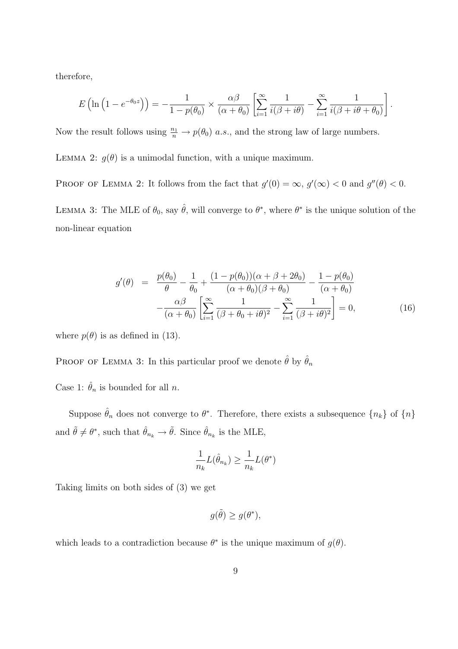therefore,

$$
E\left(\ln\left(1-e^{-\theta_0 z}\right)\right) = -\frac{1}{1-p(\theta_0)} \times \frac{\alpha \beta}{(\alpha+\theta_0)} \left[\sum_{i=1}^{\infty} \frac{1}{i(\beta+i\theta)} - \sum_{i=1}^{\infty} \frac{1}{i(\beta+i\theta+\theta_0)}\right].
$$

Now the result follows using  $\frac{n_1}{n} \to p(\theta_0)$  a.s., and the strong law of large numbers.

LEMMA 2:  $g(\theta)$  is a unimodal function, with a unique maximum.

PROOF OF LEMMA 2: It follows from the fact that  $g'(0) = \infty$ ,  $g'(\infty) < 0$  and  $g''(\theta) < 0$ . LEMMA 3: The MLE of  $\theta_0$ , say  $\hat{\theta}$ , will converge to  $\theta^*$ , where  $\theta^*$  is the unique solution of the

$$
g'(\theta) = \frac{p(\theta_0)}{\theta} - \frac{1}{\theta_0} + \frac{(1 - p(\theta_0))(\alpha + \beta + 2\theta_0)}{(\alpha + \theta_0)(\beta + \theta_0)} - \frac{1 - p(\theta_0)}{(\alpha + \theta_0)} - \frac{\alpha\beta}{(\alpha + \theta_0)} \left[ \sum_{i=1}^{\infty} \frac{1}{(\beta + \theta_0 + i\theta)^2} - \sum_{i=1}^{\infty} \frac{1}{(\beta + i\theta)^2} \right] = 0,
$$
 (16)

where  $p(\theta)$  is as defined in (13).

non-linear equation

PROOF OF LEMMA 3: In this particular proof we denote  $\hat{\theta}$  by  $\hat{\theta}_n$ 

Case 1:  $\hat{\theta}_n$  is bounded for all *n*.

Suppose  $\hat{\theta}_n$  does not converge to  $\theta^*$ . Therefore, there exists a subsequence  $\{n_k\}$  of  $\{n\}$ and  $\tilde{\theta} \neq \theta^*$ , such that  $\hat{\theta}_{n_k} \to \tilde{\theta}$ . Since  $\hat{\theta}_{n_k}$  is the MLE,

$$
\frac{1}{n_k}L(\hat{\theta}_{n_k}) \geq \frac{1}{n_k}L(\theta^*)
$$

Taking limits on both sides of (3) we get

$$
g(\tilde{\theta}) \ge g(\theta^*),
$$

which leads to a contradiction because  $\theta^*$  is the unique maximum of  $g(\theta)$ .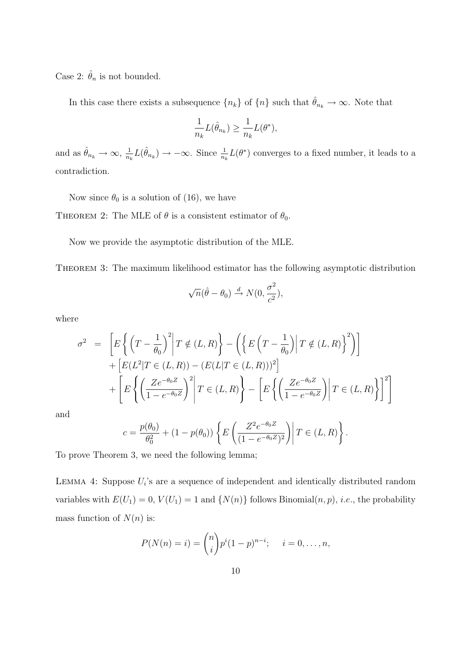Case 2:  $\hat{\theta}_n$  is not bounded.

In this case there exists a subsequence  ${n_k}$  of  ${n_l}$  such that  $\hat{\theta}_{n_k} \to \infty$ . Note that

$$
\frac{1}{n_k}L(\hat{\theta}_{n_k})\geq \frac{1}{n_k}L(\theta^*),
$$

and as  $\hat{\theta}_{n_k} \to \infty$ ,  $\frac{1}{n_l}$  $\frac{1}{n_k}L(\hat{\theta}_{n_k}) \to -\infty$ . Since  $\frac{1}{n_k}L(\theta^*)$  converges to a fixed number, it leads to a contradiction.

Now since  $\theta_0$  is a solution of (16), we have

THEOREM 2: The MLE of  $\theta$  is a consistent estimator of  $\theta_0$ .

Now we provide the asymptotic distribution of the MLE.

Theorem 3: The maximum likelihood estimator has the following asymptotic distribution

$$
\sqrt{n}(\hat{\theta}-\theta_0) \stackrel{d}{\rightarrow} N(0,\frac{\sigma^2}{c^2}),
$$

where

$$
\sigma^2 = \left[ E \left\{ \left( T - \frac{1}{\theta_0} \right)^2 \middle| T \notin (L, R) \right\} - \left( \left\{ E \left( T - \frac{1}{\theta_0} \right) \middle| T \notin (L, R) \right\}^2 \right) \right] + \left[ E(L^2 | T \in (L, R)) - (E(L | T \in (L, R)))^2 \right] + \left[ E \left\{ \left( \frac{Ze^{-\theta_0 Z}}{1 - e^{-\theta_0 Z}} \right)^2 \middle| T \in (L, R) \right\} - \left[ E \left\{ \left( \frac{Ze^{-\theta_0 Z}}{1 - e^{-\theta_0 Z}} \right) \middle| T \in (L, R) \right\} \right]^2 \right]
$$

and

$$
c = \frac{p(\theta_0)}{\theta_0^2} + (1 - p(\theta_0)) \left\{ E\left(\frac{Z^2 e^{-\theta_0 Z}}{(1 - e^{-\theta_0 Z})^2}\right) \middle| T \in (L, R) \right\}.
$$

To prove Theorem 3, we need the following lemma;

LEMMA 4: Suppose  $U_i$ 's are a sequence of independent and identically distributed random variables with  $E(U_1) = 0$ ,  $V(U_1) = 1$  and  $\{N(n)\}\$ follows Binomial $(n, p)$ , *i.e.*, the probability mass function of  $N(n)$  is:

$$
P(N(n) = i) = {n \choose i} p^{i} (1-p)^{n-i}; \quad i = 0, ..., n,
$$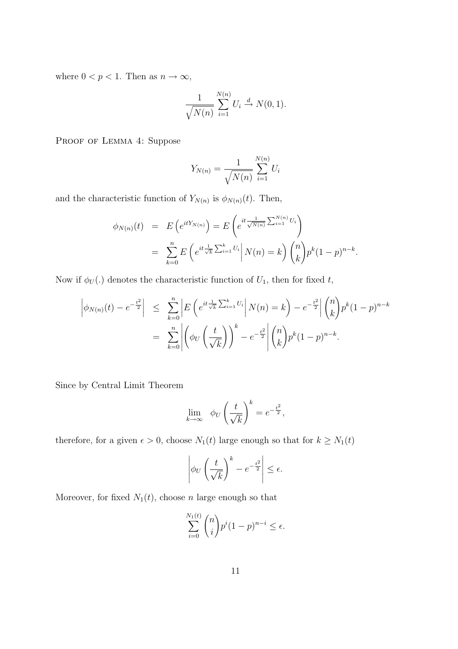where  $0 < p < 1$ . Then as  $n \to \infty$ ,

$$
\frac{1}{\sqrt{N(n)}}\sum_{i=1}^{N(n)}U_i \stackrel{d}{\to} N(0,1).
$$

PROOF OF LEMMA 4: Suppose

$$
Y_{N(n)} = \frac{1}{\sqrt{N(n)}} \sum_{i=1}^{N(n)} U_i
$$

and the characteristic function of  $Y_{N(n)}$  is  $\phi_{N(n)}(t)$ . Then,

$$
\phi_{N(n)}(t) = E\left(e^{itY_{N(n)}}\right) = E\left(e^{it\frac{1}{\sqrt{N(n)}}\sum_{i=1}^{N(n)}U_i}\right)
$$
  
= 
$$
\sum_{k=0}^{n} E\left(e^{it\frac{1}{\sqrt{k}}\sum_{i=1}^{k}U_i} \middle| N(n) = k\right) {n \choose k} p^k (1-p)^{n-k}.
$$

Now if  $\phi_U(.)$  denotes the characteristic function of  $U_1$ , then for fixed t,

$$
\left| \phi_{N(n)}(t) - e^{-\frac{t^2}{2}} \right| \leq \sum_{k=0}^n \left| E\left(e^{it\frac{1}{\sqrt{k}}\sum_{i=1}^k U_i} \middle| N(n) = k\right) - e^{-\frac{t^2}{2}} \right| {n \choose k} p^k (1-p)^{n-k}
$$

$$
= \sum_{k=0}^n \left| \left( \phi_U\left(\frac{t}{\sqrt{k}}\right) \right)^k - e^{-\frac{t^2}{2}} \right| {n \choose k} p^k (1-p)^{n-k}.
$$

Since by Central Limit Theorem

$$
\lim_{k \to \infty} \phi_U \left(\frac{t}{\sqrt{k}}\right)^k = e^{-\frac{t^2}{2}},
$$

therefore, for a given  $\epsilon > 0,$  choose  $N_1(t)$  large enough so that for  $k \geq N_1(t)$ 

$$
\left|\phi_U\left(\frac{t}{\sqrt{k}}\right)^k - e^{-\frac{t^2}{2}}\right| \leq \epsilon.
$$

Moreover, for fixed  $N_1(t)$ , choose n large enough so that

$$
\sum_{i=0}^{N_1(t)} \binom{n}{i} p^i (1-p)^{n-i} \le \epsilon.
$$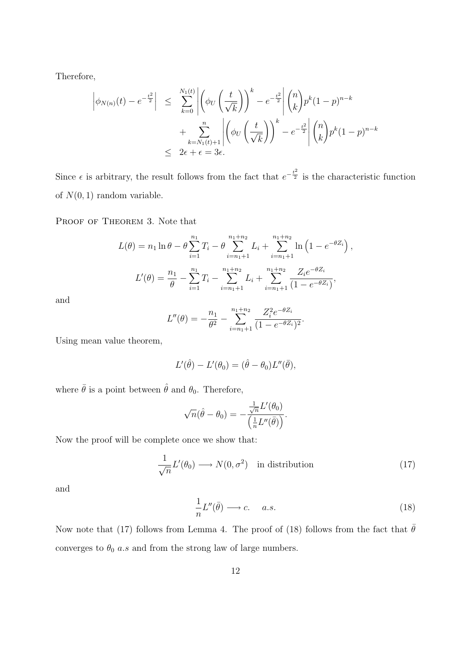Therefore,

$$
\left| \phi_{N(n)}(t) - e^{-\frac{t^2}{2}} \right| \leq \sum_{k=0}^{N_1(t)} \left| \left( \phi_U \left( \frac{t}{\sqrt{k}} \right) \right)^k - e^{-\frac{t^2}{2}} \right| \binom{n}{k} p^k (1-p)^{n-k} + \sum_{k=N_1(t)+1}^{n} \left| \left( \phi_U \left( \frac{t}{\sqrt{k}} \right) \right)^k - e^{-\frac{t^2}{2}} \right| \binom{n}{k} p^k (1-p)^{n-k} \leq 2\epsilon + \epsilon = 3\epsilon.
$$

Since  $\epsilon$  is arbitrary, the result follows from the fact that  $e^{-\frac{t^2}{2}}$  is the characteristic function of  $N(0, 1)$  random variable.

PROOF OF THEOREM 3. Note that

$$
L(\theta) = n_1 \ln \theta - \theta \sum_{i=1}^{n_1} T_i - \theta \sum_{i=n_1+1}^{n_1+n_2} L_i + \sum_{i=n_1+1}^{n_1+n_2} \ln \left( 1 - e^{-\theta Z_i} \right),
$$
  

$$
L'(\theta) = \frac{n_1}{\theta} - \sum_{i=1}^{n_1} T_i - \sum_{i=n_1+1}^{n_1+n_2} L_i + \sum_{i=n_1+1}^{n_1+n_2} \frac{Z_i e^{-\theta Z_i}}{(1 - e^{-\theta Z_i})},
$$

and

$$
L''(\theta) = -\frac{n_1}{\theta^2} - \sum_{i=n_1+1}^{n_1+n_2} \frac{Z_i^2 e^{-\theta Z_i}}{(1 - e^{-\theta Z_i})^2}.
$$

Using mean value theorem,

$$
L'(\hat{\theta}) - L'(\theta_0) = (\hat{\theta} - \theta_0)L''(\bar{\theta}),
$$

where  $\bar{\theta}$  is a point between  $\hat{\theta}$  and  $\theta_0$ . Therefore,

$$
\sqrt{n}(\hat{\theta}-\theta_0)=-\frac{\frac{1}{\sqrt{n}}L'(\theta_0)}{\left(\frac{1}{n}L''(\bar{\theta})\right)}.
$$

Now the proof will be complete once we show that:

$$
\frac{1}{\sqrt{n}}L'(\theta_0) \longrightarrow N(0,\sigma^2) \quad \text{in distribution} \tag{17}
$$

and

$$
\frac{1}{n}L''(\bar{\theta}) \longrightarrow c. \quad a.s. \tag{18}
$$

Now note that (17) follows from Lemma 4. The proof of (18) follows from the fact that  $\bar{\theta}$ converges to  $\theta_0$   $a.s$  and from the strong law of large numbers.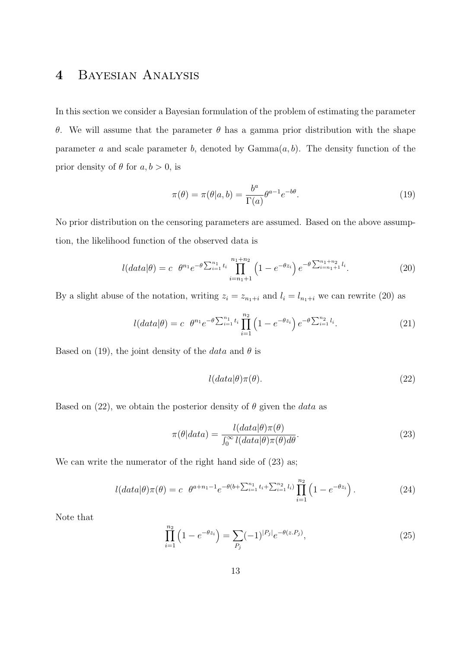# 4 Bayesian Analysis

In this section we consider a Bayesian formulation of the problem of estimating the parameter θ. We will assume that the parameter θ has a gamma prior distribution with the shape parameter a and scale parameter b, denoted by  $Gamma(a, b)$ . The density function of the prior density of  $\theta$  for  $a, b > 0$ , is

$$
\pi(\theta) = \pi(\theta|a, b) = \frac{b^a}{\Gamma(a)} \theta^{a-1} e^{-b\theta}.
$$
\n(19)

No prior distribution on the censoring parameters are assumed. Based on the above assumption, the likelihood function of the observed data is

$$
l(data|\theta) = c \ \theta^{n_1} e^{-\theta \sum_{i=1}^{n_1} t_i} \prod_{i=n_1+1}^{n_1+n_2} \left(1 - e^{-\theta z_i}\right) e^{-\theta \sum_{i=n_1+1}^{n_1+n_2} t_i}.
$$
 (20)

By a slight abuse of the notation, writing  $z_i = z_{n_1+i}$  and  $l_i = l_{n_1+i}$  we can rewrite (20) as

$$
l(data|\theta) = c \ \theta^{n_1} e^{-\theta \sum_{i=1}^{n_1} t_i} \prod_{i=1}^{n_2} \left( 1 - e^{-\theta z_i} \right) e^{-\theta \sum_{i=1}^{n_2} l_i}.
$$
 (21)

Based on (19), the joint density of the *data* and  $\theta$  is

$$
l(data|\theta)\pi(\theta). \tag{22}
$$

Based on (22), we obtain the posterior density of  $\theta$  given the *data* as

$$
\pi(\theta|data) = \frac{l(data|\theta)\pi(\theta)}{\int_0^\infty l(data|\theta)\pi(\theta)d\theta}.
$$
\n(23)

We can write the numerator of the right hand side of  $(23)$  as;

$$
l(data|\theta)\pi(\theta) = c \ \theta^{a+n_1-1} e^{-\theta(b+\sum_{i=1}^{n_1} t_i + \sum_{i=1}^{n_2} l_i)} \prod_{i=1}^{n_2} \left(1 - e^{-\theta z_i}\right).
$$
 (24)

Note that

$$
\prod_{i=1}^{n_2} \left( 1 - e^{-\theta z_i} \right) = \sum_{P_j} (-1)^{|P_j|} e^{-\theta(z.P_j)},\tag{25}
$$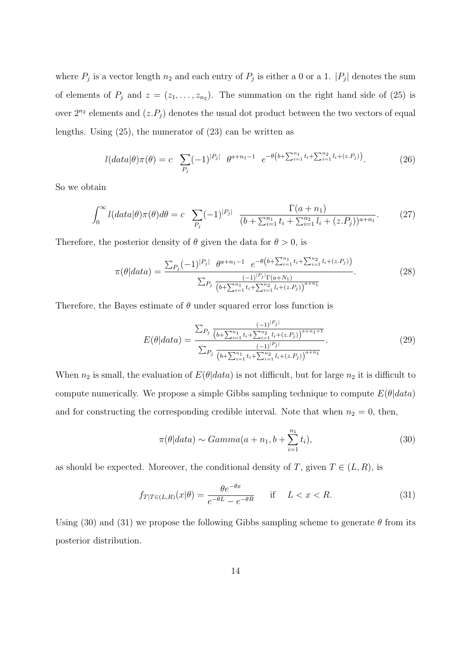where  $P_j$  is a vector length  $n_2$  and each entry of  $P_j$  is either a 0 or a 1.  $|P_j|$  denotes the sum of elements of  $P_j$  and  $z = (z_1, \ldots, z_{n_2})$ . The summation on the right hand side of (25) is over  $2^{n_2}$  elements and  $(z.P_j)$  denotes the usual dot product between the two vectors of equal lengths. Using (25), the numerator of (23) can be written as

$$
l(data|\theta)\pi(\theta) = c \sum_{P_j} (-1)^{|P_j|} \theta^{a+n_1-1} e^{-\theta(b+\sum_{i=1}^{n_1} t_i + \sum_{i=1}^{n_2} l_i + (z.P_j))}.
$$
 (26)

So we obtain

$$
\int_0^\infty l(data|\theta)\pi(\theta)d\theta = c \sum_{P_j} (-1)^{|P_j|} \frac{\Gamma(a+n_1)}{(b+\sum_{i=1}^{n_1} t_i + \sum_{i=1}^{n_2} l_i + (z.P_j))^{a+n_1}}.
$$
 (27)

Therefore, the posterior density of  $\theta$  given the data for  $\theta > 0$ , is

$$
\pi(\theta|data) = \frac{\sum_{P_j} (-1)^{|P_j|} \theta^{a+n_1-1} e^{-\theta(b+\sum_{i=1}^{n_1} t_i + \sum_{i=1}^{n_2} l_i + (z.P_j))}}{\sum_{P_j} \frac{(-1)^{|P_j|} \Gamma(a+N_1)}{(b+\sum_{i=1}^{n_1} t_i + \sum_{i=1}^{n_2} l_i + (z.P_j))^{a+n_1}}}.
$$
\n(28)

Therefore, the Bayes estimate of  $\theta$  under squared error loss function is

$$
E(\theta|data) = \frac{\sum_{P_j} \frac{(-1)^{|P_j|}}{(b + \sum_{i=1}^{n_1} t_i + \sum_{i=1}^{n_2} l_i + (z.P_j))^{a+n_1+1}}}{\sum_{P_j} \frac{(-1)^{|P_j|}}{(b + \sum_{i=1}^{n_1} t_i + \sum_{i=1}^{n_2} l_i + (z.P_j))^{a+n_1}}}.
$$
(29)

When  $n_2$  is small, the evaluation of  $E(\theta|data)$  is not difficult, but for large  $n_2$  it is difficult to compute numerically. We propose a simple Gibbs sampling technique to compute  $E(\theta|data)$ and for constructing the corresponding credible interval. Note that when  $n_2 = 0$ , then,

$$
\pi(\theta|data) \sim Gamma(a+n_1, b+\sum_{i=1}^{n_1} t_i), \qquad (30)
$$

as should be expected. Moreover, the conditional density of T, given  $T \in (L, R)$ , is

$$
f_{T|T\in(L,R)}(x|\theta) = \frac{\theta e^{-\theta x}}{e^{-\theta L} - e^{-\theta R}} \quad \text{if} \quad L < x < R. \tag{31}
$$

Using (30) and (31) we propose the following Gibbs sampling scheme to generate  $\theta$  from its posterior distribution.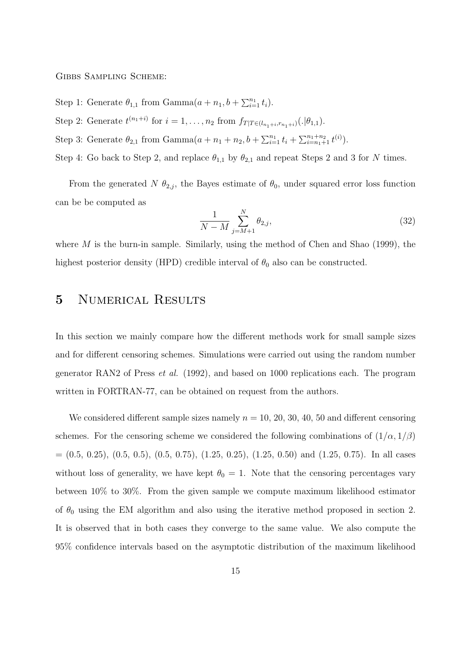Gibbs Sampling Scheme:

- Step 1: Generate  $\theta_{1,1}$  from Gamma $(a + n_1, b + \sum_{i=1}^{n_1} t_i)$ .
- Step 2: Generate  $t^{(n_1+i)}$  for  $i = 1, ..., n_2$  from  $f_{T|T \in (l_{n_1+i}, r_{n_1+i})}(.|\theta_{1,1}).$
- Step 3: Generate  $\theta_{2,1}$  from Gamma $(a + n_1 + n_2, b + \sum_{i=1}^{n_1} t_i + \sum_{i=n_1+1}^{n_1+n_2} t^{(i)}).$
- Step 4: Go back to Step 2, and replace  $\theta_{1,1}$  by  $\theta_{2,1}$  and repeat Steps 2 and 3 for N times.

From the generated N  $\theta_{2,i}$ , the Bayes estimate of  $\theta_0$ , under squared error loss function can be be computed as

$$
\frac{1}{N-M} \sum_{j=M+1}^{N} \theta_{2,j},
$$
\n(32)

where  $M$  is the burn-in sample. Similarly, using the method of Chen and Shao (1999), the highest posterior density (HPD) credible interval of  $\theta_0$  also can be constructed.

#### 5 NUMERICAL RESULTS

In this section we mainly compare how the different methods work for small sample sizes and for different censoring schemes. Simulations were carried out using the random number generator RAN2 of Press et al. (1992), and based on 1000 replications each. The program written in FORTRAN-77, can be obtained on request from the authors.

We considered different sample sizes namely  $n = 10, 20, 30, 40, 50$  and different censoring schemes. For the censoring scheme we considered the following combinations of  $(1/\alpha, 1/\beta)$  $=(0.5, 0.25), (0.5, 0.5), (0.5, 0.75), (1.25, 0.25), (1.25, 0.50)$  and  $(1.25, 0.75)$ . In all cases without loss of generality, we have kept  $\theta_0 = 1$ . Note that the censoring percentages vary between 10% to 30%. From the given sample we compute maximum likelihood estimator of  $\theta_0$  using the EM algorithm and also using the iterative method proposed in section 2. It is observed that in both cases they converge to the same value. We also compute the 95% confidence intervals based on the asymptotic distribution of the maximum likelihood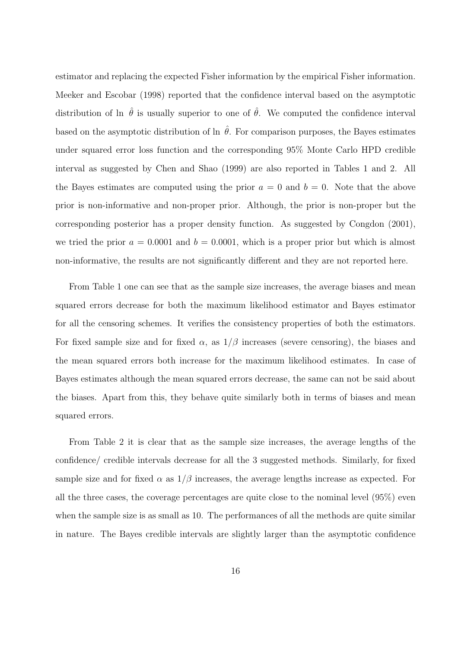estimator and replacing the expected Fisher information by the empirical Fisher information. Meeker and Escobar (1998) reported that the confidence interval based on the asymptotic distribution of ln  $\hat{\theta}$  is usually superior to one of  $\hat{\theta}$ . We computed the confidence interval based on the asymptotic distribution of ln  $\hat{\theta}$ . For comparison purposes, the Bayes estimates under squared error loss function and the corresponding 95% Monte Carlo HPD credible interval as suggested by Chen and Shao (1999) are also reported in Tables 1 and 2. All the Bayes estimates are computed using the prior  $a = 0$  and  $b = 0$ . Note that the above prior is non-informative and non-proper prior. Although, the prior is non-proper but the corresponding posterior has a proper density function. As suggested by Congdon (2001), we tried the prior  $a = 0.0001$  and  $b = 0.0001$ , which is a proper prior but which is almost non-informative, the results are not significantly different and they are not reported here.

From Table 1 one can see that as the sample size increases, the average biases and mean squared errors decrease for both the maximum likelihood estimator and Bayes estimator for all the censoring schemes. It verifies the consistency properties of both the estimators. For fixed sample size and for fixed  $\alpha$ , as  $1/\beta$  increases (severe censoring), the biases and the mean squared errors both increase for the maximum likelihood estimates. In case of Bayes estimates although the mean squared errors decrease, the same can not be said about the biases. Apart from this, they behave quite similarly both in terms of biases and mean squared errors.

From Table 2 it is clear that as the sample size increases, the average lengths of the confidence/ credible intervals decrease for all the 3 suggested methods. Similarly, for fixed sample size and for fixed  $\alpha$  as  $1/\beta$  increases, the average lengths increase as expected. For all the three cases, the coverage percentages are quite close to the nominal level (95%) even when the sample size is as small as 10. The performances of all the methods are quite similar in nature. The Bayes credible intervals are slightly larger than the asymptotic confidence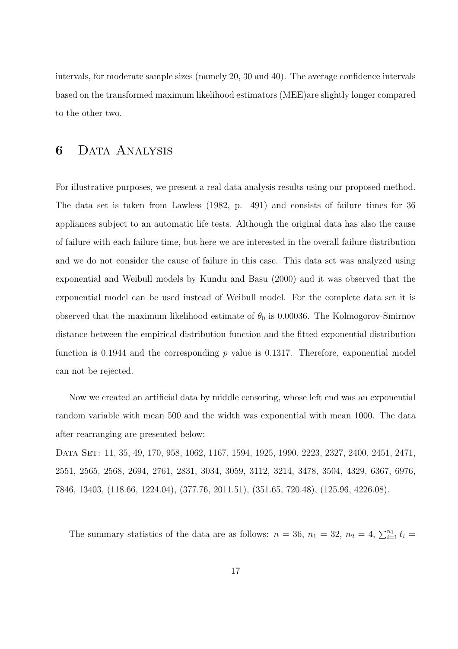intervals, for moderate sample sizes (namely 20, 30 and 40). The average confidence intervals based on the transformed maximum likelihood estimators (MEE)are slightly longer compared to the other two.

### 6 Data Analysis

For illustrative purposes, we present a real data analysis results using our proposed method. The data set is taken from Lawless (1982, p. 491) and consists of failure times for 36 appliances subject to an automatic life tests. Although the original data has also the cause of failure with each failure time, but here we are interested in the overall failure distribution and we do not consider the cause of failure in this case. This data set was analyzed using exponential and Weibull models by Kundu and Basu (2000) and it was observed that the exponential model can be used instead of Weibull model. For the complete data set it is observed that the maximum likelihood estimate of  $\theta_0$  is 0.00036. The Kolmogorov-Smirnov distance between the empirical distribution function and the fitted exponential distribution function is 0.1944 and the corresponding  $p$  value is 0.1317. Therefore, exponential model can not be rejected.

Now we created an artificial data by middle censoring, whose left end was an exponential random variable with mean 500 and the width was exponential with mean 1000. The data after rearranging are presented below:

Data Set: 11, 35, 49, 170, 958, 1062, 1167, 1594, 1925, 1990, 2223, 2327, 2400, 2451, 2471, 2551, 2565, 2568, 2694, 2761, 2831, 3034, 3059, 3112, 3214, 3478, 3504, 4329, 6367, 6976, 7846, 13403, (118.66, 1224.04), (377.76, 2011.51), (351.65, 720.48), (125.96, 4226.08).

The summary statistics of the data are as follows:  $n = 36$ ,  $n_1 = 32$ ,  $n_2 = 4$ ,  $\sum_{i=1}^{n_1} t_i =$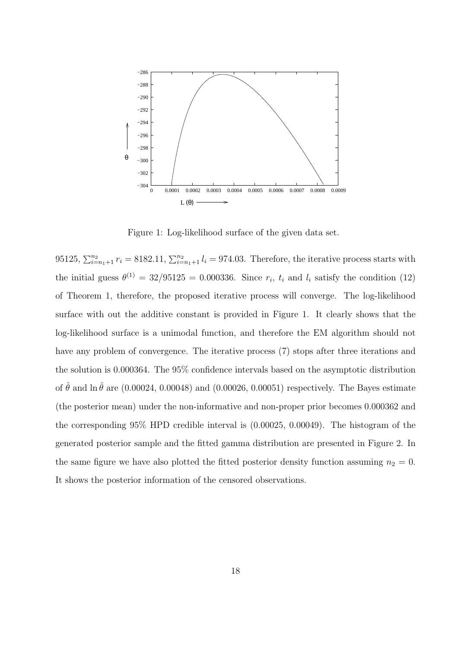

Figure 1: Log-likelihood surface of the given data set.

95125,  $\sum_{i=n_1+1}^{n_2} r_i = 8182.11$ ,  $\sum_{i=n_1+1}^{n_2} l_i = 974.03$ . Therefore, the iterative process starts with the initial guess  $\theta^{(1)} = 32/95125 = 0.000336$ . Since  $r_i$ ,  $t_i$  and  $l_i$  satisfy the condition (12) of Theorem 1, therefore, the proposed iterative process will converge. The log-likelihood surface with out the additive constant is provided in Figure 1. It clearly shows that the log-likelihood surface is a unimodal function, and therefore the EM algorithm should not have any problem of convergence. The iterative process (7) stops after three iterations and the solution is 0.000364. The 95% confidence intervals based on the asymptotic distribution of  $\hat{\theta}$  and ln  $\hat{\theta}$  are (0.00024, 0.00048) and (0.00026, 0.00051) respectively. The Bayes estimate (the posterior mean) under the non-informative and non-proper prior becomes 0.000362 and the corresponding 95% HPD credible interval is (0.00025, 0.00049). The histogram of the generated posterior sample and the fitted gamma distribution are presented in Figure 2. In the same figure we have also plotted the fitted posterior density function assuming  $n_2 = 0$ . It shows the posterior information of the censored observations.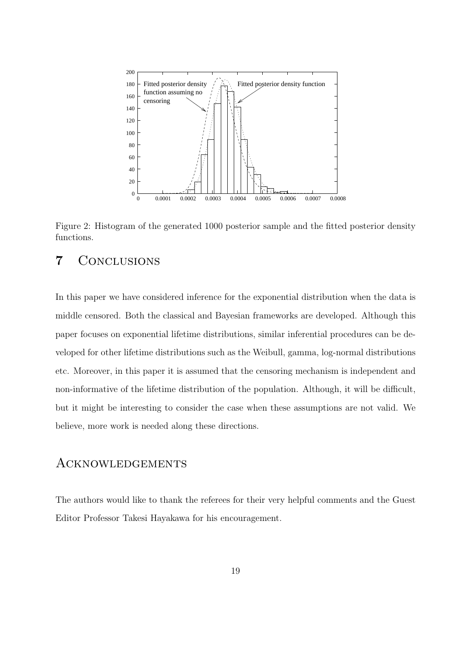

Figure 2: Histogram of the generated 1000 posterior sample and the fitted posterior density functions.

### 7 Conclusions

In this paper we have considered inference for the exponential distribution when the data is middle censored. Both the classical and Bayesian frameworks are developed. Although this paper focuses on exponential lifetime distributions, similar inferential procedures can be developed for other lifetime distributions such as the Weibull, gamma, log-normal distributions etc. Moreover, in this paper it is assumed that the censoring mechanism is independent and non-informative of the lifetime distribution of the population. Although, it will be difficult, but it might be interesting to consider the case when these assumptions are not valid. We believe, more work is needed along these directions.

#### Acknowledgements

The authors would like to thank the referees for their very helpful comments and the Guest Editor Professor Takesi Hayakawa for his encouragement.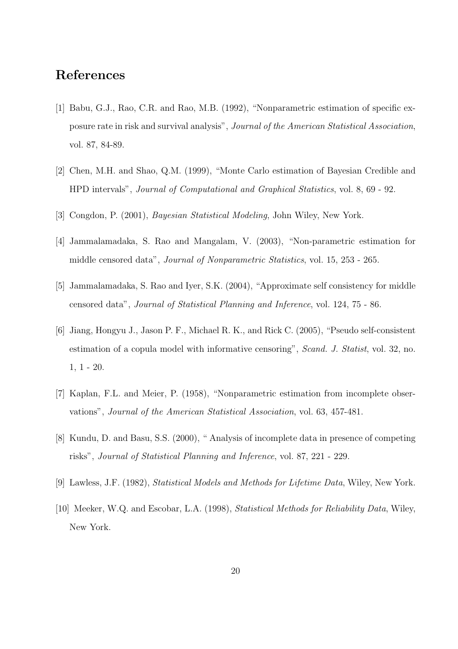# References

- [1] Babu, G.J., Rao, C.R. and Rao, M.B. (1992), "Nonparametric estimation of specific exposure rate in risk and survival analysis", Journal of the American Statistical Association, vol. 87, 84-89.
- [2] Chen, M.H. and Shao, Q.M. (1999), "Monte Carlo estimation of Bayesian Credible and HPD intervals", Journal of Computational and Graphical Statistics, vol. 8, 69 - 92.
- [3] Congdon, P. (2001), Bayesian Statistical Modeling, John Wiley, New York.
- [4] Jammalamadaka, S. Rao and Mangalam, V. (2003), "Non-parametric estimation for middle censored data", Journal of Nonparametric Statistics, vol. 15, 253 - 265.
- [5] Jammalamadaka, S. Rao and Iyer, S.K. (2004), "Approximate self consistency for middle censored data", Journal of Statistical Planning and Inference, vol. 124, 75 - 86.
- [6] Jiang, Hongyu J., Jason P. F., Michael R. K., and Rick C. (2005), "Pseudo self-consistent estimation of a copula model with informative censoring", Scand. J. Statist, vol. 32, no. 1, 1 - 20.
- [7] Kaplan, F.L. and Meier, P. (1958), "Nonparametric estimation from incomplete observations", Journal of the American Statistical Association, vol. 63, 457-481.
- [8] Kundu, D. and Basu, S.S. (2000), " Analysis of incomplete data in presence of competing risks", Journal of Statistical Planning and Inference, vol. 87, 221 - 229.
- [9] Lawless, J.F. (1982), Statistical Models and Methods for Lifetime Data, Wiley, New York.
- [10] Meeker, W.Q. and Escobar, L.A. (1998), Statistical Methods for Reliability Data, Wiley, New York.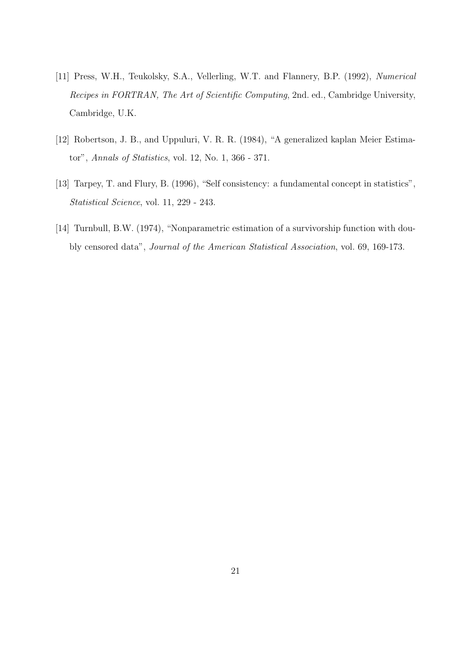- [11] Press, W.H., Teukolsky, S.A., Vellerling, W.T. and Flannery, B.P. (1992), Numerical Recipes in FORTRAN, The Art of Scientific Computing, 2nd. ed., Cambridge University, Cambridge, U.K.
- [12] Robertson, J. B., and Uppuluri, V. R. R. (1984), "A generalized kaplan Meier Estimator", Annals of Statistics, vol. 12, No. 1, 366 - 371.
- [13] Tarpey, T. and Flury, B. (1996), "Self consistency: a fundamental concept in statistics", Statistical Science, vol. 11, 229 - 243.
- [14] Turnbull, B.W. (1974), "Nonparametric estimation of a survivorship function with doubly censored data", Journal of the American Statistical Association, vol. 69, 169-173.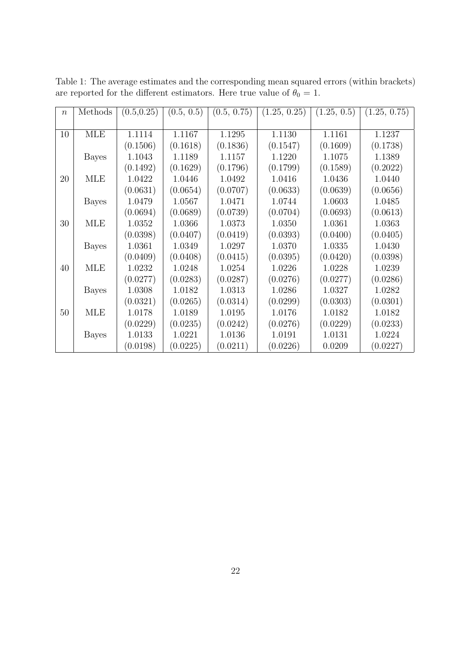| $\boldsymbol{n}$ | Methods      | (0.5, 0.25) | (0.5, 0.5) | (0.5, 0.75) | (1.25, 0.25) | (1.25, 0.5) | (1.25, 0.75) |
|------------------|--------------|-------------|------------|-------------|--------------|-------------|--------------|
|                  |              |             |            |             |              |             |              |
| 10               | <b>MLE</b>   | 1.1114      | 1.1167     | 1.1295      | 1.1130       | 1.1161      | 1.1237       |
|                  |              | (0.1506)    | (0.1618)   | (0.1836)    | (0.1547)     | (0.1609)    | (0.1738)     |
|                  | <b>Bayes</b> | 1.1043      | 1.1189     | 1.1157      | 1.1220       | 1.1075      | 1.1389       |
|                  |              | (0.1492)    | (0.1629)   | (0.1796)    | (0.1799)     | (0.1589)    | (0.2022)     |
| 20               | <b>MLE</b>   | 1.0422      | 1.0446     | 1.0492      | 1.0416       | 1.0436      | 1.0440       |
|                  |              | (0.0631)    | (0.0654)   | (0.0707)    | (0.0633)     | (0.0639)    | (0.0656)     |
|                  | <b>Bayes</b> | 1.0479      | 1.0567     | 1.0471      | 1.0744       | 1.0603      | 1.0485       |
|                  |              | (0.0694)    | (0.0689)   | (0.0739)    | (0.0704)     | (0.0693)    | (0.0613)     |
| 30               | <b>MLE</b>   | 1.0352      | 1.0366     | 1.0373      | 1.0350       | 1.0361      | 1.0363       |
|                  |              | (0.0398)    | (0.0407)   | (0.0419)    | (0.0393)     | (0.0400)    | (0.0405)     |
|                  | <b>Bayes</b> | 1.0361      | 1.0349     | 1.0297      | 1.0370       | 1.0335      | 1.0430       |
|                  |              | (0.0409)    | (0.0408)   | (0.0415)    | (0.0395)     | (0.0420)    | (0.0398)     |
| 40               | <b>MLE</b>   | 1.0232      | 1.0248     | 1.0254      | 1.0226       | 1.0228      | 1.0239       |
|                  |              | (0.0277)    | (0.0283)   | (0.0287)    | (0.0276)     | (0.0277)    | (0.0286)     |
|                  | <b>Bayes</b> | 1.0308      | 1.0182     | 1.0313      | 1.0286       | 1.0327      | 1.0282       |
|                  |              | (0.0321)    | (0.0265)   | (0.0314)    | (0.0299)     | (0.0303)    | (0.0301)     |
| 50               | <b>MLE</b>   | 1.0178      | 1.0189     | 1.0195      | 1.0176       | 1.0182      | 1.0182       |
|                  |              | (0.0229)    | (0.0235)   | (0.0242)    | (0.0276)     | (0.0229)    | (0.0233)     |
|                  | <b>Bayes</b> | 1.0133      | 1.0221     | 1.0136      | 1.0191       | 1.0131      | 1.0224       |
|                  |              | (0.0198)    | (0.0225)   | (0.0211)    | (0.0226)     | 0.0209      | (0.0227)     |

Table 1: The average estimates and the corresponding mean squared errors (within brackets) are reported for the different estimators. Here true value of  $\theta_0 = 1$ .